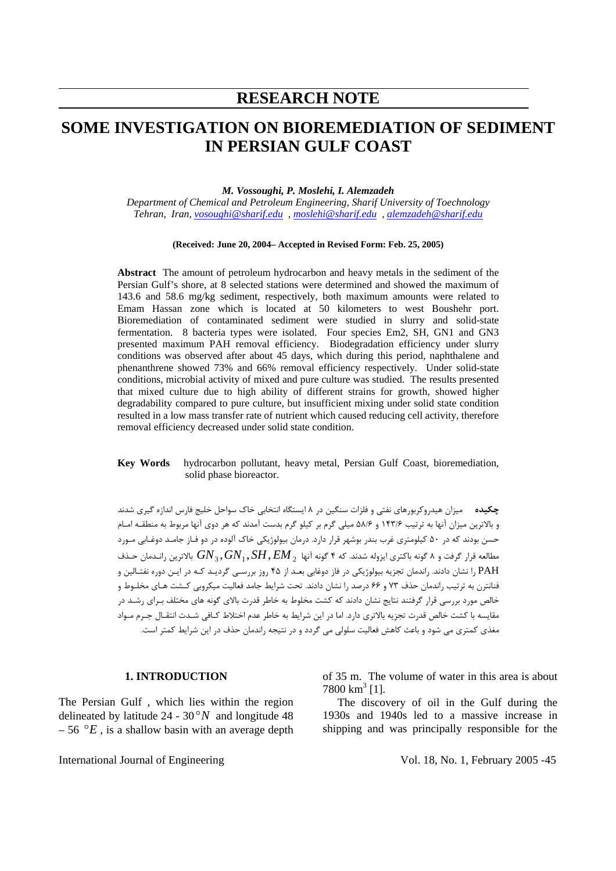# **RESEARCH NOTE**

# **SOME INVESTIGATION ON BIOREMEDIATION OF SEDIMENT IN PERSIAN GULF COAST**

*M. Vossoughi, P. Moslehi, I. Alemzadeh*

*Department of Chemical and Petroleum Engineering, Sharif University of Toechnology Tehran, Iran, vosoughi@sharif.edu , moslehi@sharif.edu , alemzadeh@sharif.edu* 

#### **(Received: June 20, 2004– Accepted in Revised Form: Feb. 25, 2005)**

**Abstract** The amount of petroleum hydrocarbon and heavy metals in the sediment of the Persian Gulf's shore, at 8 selected stations were determined and showed the maximum of 143.6 and 58.6 mg/kg sediment, respectively, both maximum amounts were related to Emam Hassan zone which is located at 50 kilometers to west Boushehr port. Bioremediation of contaminated sediment were studied in slurry and solid-state fermentation. 8 bacteria types were isolated. Four species Em2, SH, GN1 and GN3 presented maximum PAH removal efficiency. Biodegradation efficiency under slurry conditions was observed after about 45 days, which during this period, naphthalene and phenanthrene showed 73% and 66% removal efficiency respectively. Under solid-state conditions, microbial activity of mixed and pure culture was studied. The results presented that mixed culture due to high ability of different strains for growth, showed higher degradability compared to pure culture, but insufficient mixing under solid state condition resulted in a low mass transfer rate of nutrient which caused reducing cell activity, therefore removal efficiency decreased under solid state condition.

#### **Key Words** hydrocarbon pollutant, heavy metal, Persian Gulf Coast, bioremediation, solid phase bioreactor.

**چكيده** ميزان هيدروکربورهای نفتی و فلزات سنگين در ۸ ايستگاه انتخابی خاک سواحل خليج فارس اندازه گيری شدند و بالاترين ميزان آنها به ترتيب ۱۴۳/۶ و ۵۸/۶ ميلی گرم بر کيلو گرم بدست آمدند که هر دوی آنها مربوط به منطقـه امـام حسن بودند که در ۵۰ کيلومتری غرب بندر بوشهر قرار دارد. درمان بيولوژيکی خاک آلوده در دو فـاز جامـد دوغـابی مـورد *EM* ,*SH* , *GN*, *GN* بالاترين رانـدمان حـذف <sup>2</sup> <sup>1</sup> <sup>3</sup> مطالعه قرار گرفت و ۸ گونه باکتری ايزوله شدند. که ۴ گونه آنها PAH را نشان دادند. راندمان تجزيه بيولوژيکی در فاز دوغابی بعـد از ۴۵ روز بررسـی گرديـد کـه در ايـن دوره نفتـالين و فنانترن به ترتيب راندمان حذف ۷۳ و ۶۶ درصد را نشان دادند. تحت شرايط جامد فعاليت ميکروبی کـشت هـای مخلـوط و خالص مورد بررسی قرار گرفتند نتايج نشان دادند که کشت مخلوط به خاطر قدرت بالای گونه های مختلف بـرای رشـد در مقايسه با کشت خالص قدرت تجزيه بالاتری دارد. اما در اين شرايط به خاطر عدم اختلاط کـافی شـدت انتقـال جـرم مـواد مغذی کمتری می شود و باعث کاهش فعاليت سلولی می گردد و در نتيجه راندمان حذف در اين شرايط کمتر است.

#### **1. INTRODUCTION**

The Persian Gulf , which lies within the region delineated by latitude  $24 - 30°N$  and longitude 48  $-56$  ° $E$ , is a shallow basin with an average depth of 35 m. The volume of water in this area is about  $7800 \text{ km}^3$  [1].

The discovery of oil in the Gulf during the 1930s and 1940s led to a massive increase in shipping and was principally responsible for the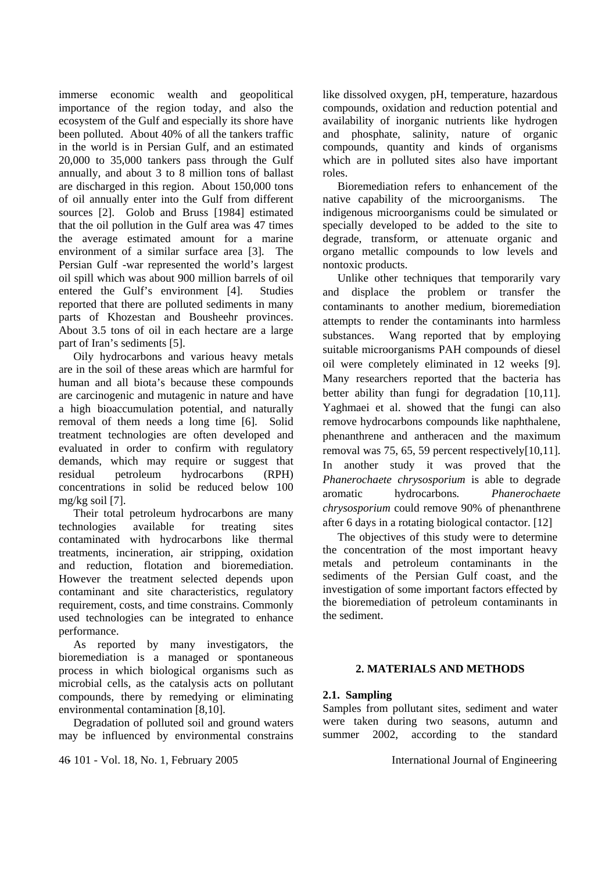immerse economic wealth and geopolitical importance of the region today, and also the ecosystem of the Gulf and especially its shore have been polluted. About 40% of all the tankers traffic in the world is in Persian Gulf, and an estimated 20,000 to 35,000 tankers pass through the Gulf annually, and about 3 to 8 million tons of ballast are discharged in this region. About 150,000 tons of oil annually enter into the Gulf from different sources [2]. Golob and Bruss [1984] estimated that the oil pollution in the Gulf area was 47 times the average estimated amount for a marine environment of a similar surface area [3]. The Persian Gulf -war represented the world's largest oil spill which was about 900 million barrels of oil entered the Gulf's environment [4]. Studies reported that there are polluted sediments in many parts of Khozestan and Bousheehr provinces. About 3.5 tons of oil in each hectare are a large part of Iran's sediments [5].

Oily hydrocarbons and various heavy metals are in the soil of these areas which are harmful for human and all biota's because these compounds are carcinogenic and mutagenic in nature and have a high bioaccumulation potential, and naturally removal of them needs a long time [6]. Solid treatment technologies are often developed and evaluated in order to confirm with regulatory demands, which may require or suggest that residual petroleum hydrocarbons (RPH) concentrations in solid be reduced below 100 mg/kg soil [7].

Their total petroleum hydrocarbons are many technologies available for treating sites contaminated with hydrocarbons like thermal treatments, incineration, air stripping, oxidation and reduction, flotation and bioremediation. However the treatment selected depends upon contaminant and site characteristics, regulatory requirement, costs, and time constrains. Commonly used technologies can be integrated to enhance performance.

As reported by many investigators, the bioremediation is a managed or spontaneous process in which biological organisms such as microbial cells, as the catalysis acts on pollutant compounds, there by remedying or eliminating environmental contamination [8,10].

Degradation of polluted soil and ground waters may be influenced by environmental constrains

- 101 - Vol. 18, No. 1, February 2005 46 International Journal of Engineering

like dissolved oxygen, pH, temperature, hazardous compounds, oxidation and reduction potential and availability of inorganic nutrients like hydrogen and phosphate, salinity, nature of organic compounds, quantity and kinds of organisms which are in polluted sites also have important roles.

Bioremediation refers to enhancement of the native capability of the microorganisms. The indigenous microorganisms could be simulated or specially developed to be added to the site to degrade, transform, or attenuate organic and organo metallic compounds to low levels and nontoxic products.

Unlike other techniques that temporarily vary and displace the problem or transfer the contaminants to another medium, bioremediation attempts to render the contaminants into harmless substances. Wang reported that by employing suitable microorganisms PAH compounds of diesel oil were completely eliminated in 12 weeks [9]. Many researchers reported that the bacteria has better ability than fungi for degradation [10,11]. Yaghmaei et al. showed that the fungi can also remove hydrocarbons compounds like naphthalene, phenanthrene and antheracen and the maximum removal was 75, 65, 59 percent respectively[10,11]. In another study it was proved that the *Phanerochaete chrysosporium* is able to degrade aromatic hydrocarbons*. Phanerochaete chrysosporium* could remove 90% of phenanthrene after 6 days in a rotating biological contactor. [12]

The objectives of this study were to determine the concentration of the most important heavy metals and petroleum contaminants in the sediments of the Persian Gulf coast, and the investigation of some important factors effected by the bioremediation of petroleum contaminants in the sediment.

# **2. MATERIALS AND METHODS**

# **2.1. Sampling**

Samples from pollutant sites, sediment and water were taken during two seasons, autumn and summer 2002, according to the standard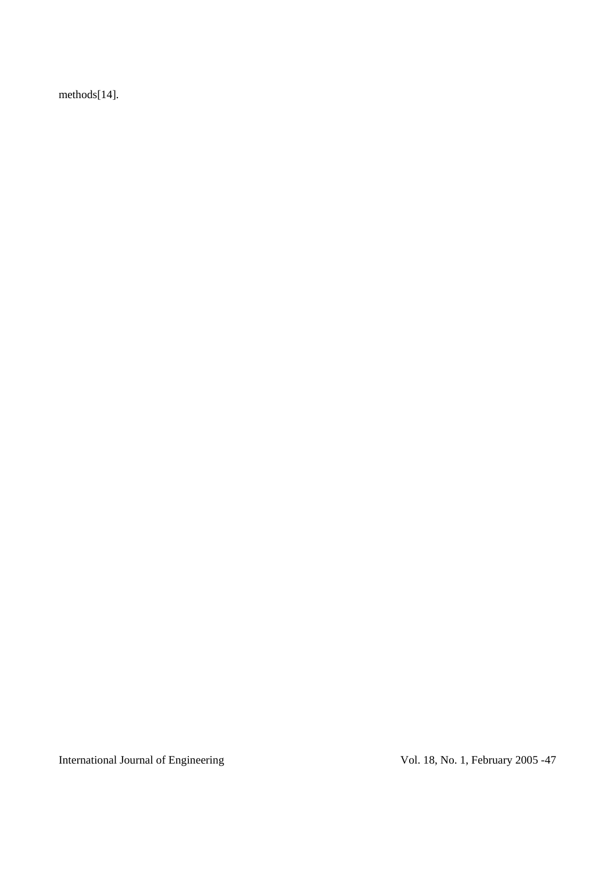methods[14].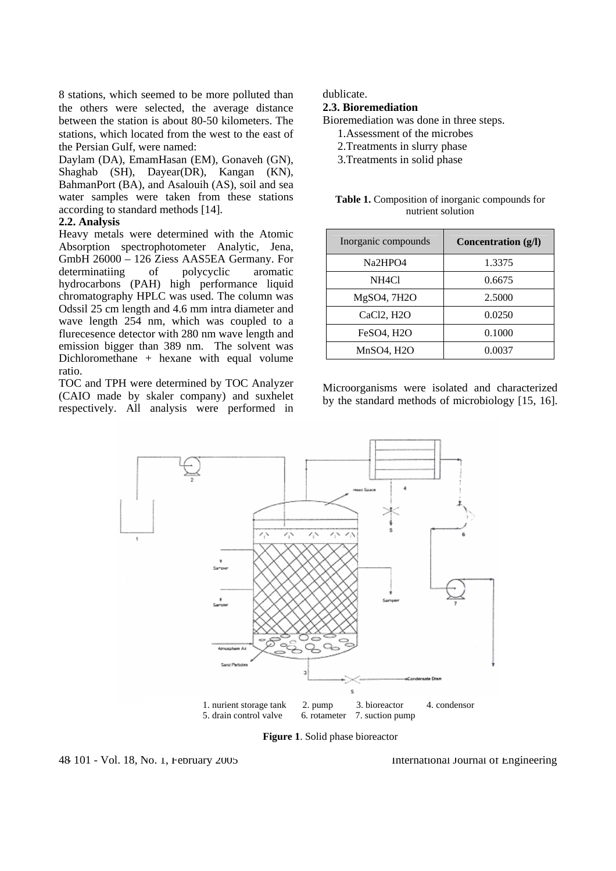8 stations, which seemed to be more polluted than the others were selected, the average distance between the station is about 80-50 kilometers. The stations, which located from the west to the east of the Persian Gulf, were named:

Daylam (DA), EmamHasan (EM), Gonaveh (GN), Shaghab (SH), Dayear(DR), Kangan (KN), BahmanPort (BA), and Asalouih (AS), soil and sea water samples were taken from these stations according to standard methods [14].

#### **2.2. Analysis**

Heavy metals were determined with the Atomic Absorption spectrophotometer Analytic, Jena, GmbH 26000 – 126 Ziess AAS5EA Germany. For determinatiing of polycyclic aromatic hydrocarbons (PAH) high performance liquid chromatography HPLC was used. The column was Odssil 25 cm length and 4.6 mm intra diameter and wave length 254 nm, which was coupled to a flurecesence detector with 280 nm wave length and emission bigger than 389 nm. The solvent was Dichloromethane + hexane with equal volume ratio.

TOC and TPH were determined by TOC Analyzer (CAIO made by skaler company) and suxhelet respectively. All analysis were performed in dublicate.

## **2.3. Bioremediation**

Bioremediation was done in three steps.

- 1.Assessment of the microbes
- 2.Treatments in slurry phase
- 3.Treatments in solid phase

| Table 1. Composition of inorganic compounds for |  |
|-------------------------------------------------|--|
| nutrient solution                               |  |

| Inorganic compounds | Concentration $(g/I)$ |
|---------------------|-----------------------|
| Na2HPO4             | 1.3375                |
| NH4Cl               | 0.6675                |
| MgSO4, 7H2O         | 2.5000                |
| CaCl2, H2O          | 0.0250                |
| <b>FeSO4, H2O</b>   | 0.1000                |
| MnSO4, H2O          | 0.0037                |

Microorganisms were isolated and characterized by the standard methods of microbiology [15, 16].



**Figure 1**. Solid phase bioreactor

- 101 - Vol. 18, No. 1, February 2005 48 International Journal of Engineering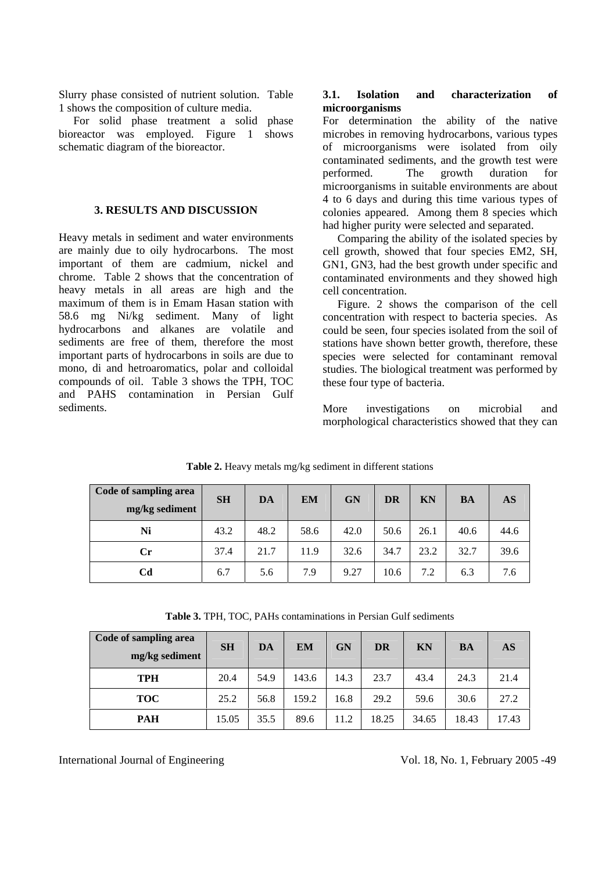Slurry phase consisted of nutrient solution. Table 1 shows the composition of culture media.

For solid phase treatment a solid phase bioreactor was employed. Figure 1 shows schematic diagram of the bioreactor.

# **3. RESULTS AND DISCUSSION**

Heavy metals in sediment and water environments are mainly due to oily hydrocarbons. The most important of them are cadmium, nickel and chrome. Table 2 shows that the concentration of heavy metals in all areas are high and the maximum of them is in Emam Hasan station with 58.6 mg Ni/kg sediment. Many of light hydrocarbons and alkanes are volatile and sediments are free of them, therefore the most important parts of hydrocarbons in soils are due to mono, di and hetroaromatics, polar and colloidal compounds of oil. Table 3 shows the TPH, TOC and PAHS contamination in Persian Gulf sediments.

## **3.1. Isolation and characterization of microorganisms**

For determination the ability of the native microbes in removing hydrocarbons, various types of microorganisms were isolated from oily contaminated sediments, and the growth test were performed. The growth duration for microorganisms in suitable environments are about 4 to 6 days and during this time various types of colonies appeared. Among them 8 species which had higher purity were selected and separated.

Comparing the ability of the isolated species by cell growth, showed that four species EM2, SH, GN1, GN3, had the best growth under specific and contaminated environments and they showed high cell concentration.

Figure. 2 shows the comparison of the cell concentration with respect to bacteria species. As could be seen, four species isolated from the soil of stations have shown better growth, therefore, these species were selected for contaminant removal studies. The biological treatment was performed by these four type of bacteria.

More investigations on microbial and morphological characteristics showed that they can

| Code of sampling area<br>mg/kg sediment | <b>SH</b> | DA   | <b>EM</b> | GN   | <b>DR</b> | KN   | <b>BA</b> | AS   |
|-----------------------------------------|-----------|------|-----------|------|-----------|------|-----------|------|
| Ni                                      | 43.2      | 48.2 | 58.6      | 42.0 | 50.6      | 26.1 | 40.6      | 44.6 |
| $\mathbf{C}$ r                          | 37.4      | 21.7 | 11.9      | 32.6 | 34.7      | 23.2 | 32.7      | 39.6 |
| Cd                                      | 6.7       | 5.6  | 7.9       | 9.27 | 10.6      | 7.2  | 6.3       | 7.6  |

**Table 2.** Heavy metals mg/kg sediment in different stations

**Table 3.** TPH, TOC, PAHs contaminations in Persian Gulf sediments

| Code of sampling area<br>mg/kg sediment | <b>SH</b> | DA   | <b>EM</b> | GN   | <b>DR</b> | <b>KN</b> | <b>BA</b> | AS    |
|-----------------------------------------|-----------|------|-----------|------|-----------|-----------|-----------|-------|
| <b>TPH</b>                              | 20.4      | 54.9 | 143.6     | 14.3 | 23.7      | 43.4      | 24.3      | 21.4  |
| <b>TOC</b>                              | 25.2      | 56.8 | 159.2     | 16.8 | 29.2      | 59.6      | 30.6      | 27.2  |
| <b>PAH</b>                              | 15.05     | 35.5 | 89.6      | 11.2 | 18.25     | 34.65     | 18.43     | 17.43 |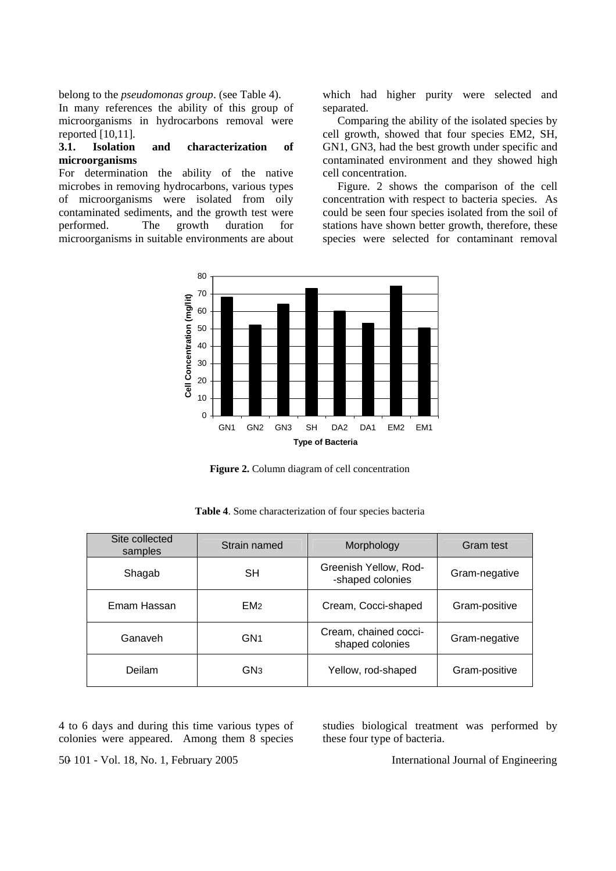belong to the *pseudomonas group*. (see Table 4).

In many references the ability of this group of microorganisms in hydrocarbons removal were reported [10,11].

## **3.1. Isolation and characterization of microorganisms**

For determination the ability of the native microbes in removing hydrocarbons, various types of microorganisms were isolated from oily contaminated sediments, and the growth test were performed. The growth duration for microorganisms in suitable environments are about which had higher purity were selected and separated.

Comparing the ability of the isolated species by cell growth, showed that four species EM2, SH, GN1, GN3, had the best growth under specific and contaminated environment and they showed high cell concentration.

Figure. 2 shows the comparison of the cell concentration with respect to bacteria species. As could be seen four species isolated from the soil of stations have shown better growth, therefore, these species were selected for contaminant removal



Figure 2. Column diagram of cell concentration

| Site collected<br>samples | Strain named    | Morphology                                | Gram test     |
|---------------------------|-----------------|-------------------------------------------|---------------|
| Shagab                    | <b>SH</b>       | Greenish Yellow, Rod-<br>-shaped colonies | Gram-negative |
| Emam Hassan               | EM <sub>2</sub> | Cream, Cocci-shaped                       | Gram-positive |
| Ganaveh                   | GN <sub>1</sub> | Cream, chained cocci-<br>shaped colonies  | Gram-negative |
| Deilam                    | GN <sub>3</sub> | Yellow, rod-shaped                        | Gram-positive |

**Table 4**. Some characterization of four species bacteria

4 to 6 days and during this time various types of colonies were appeared. Among them 8 species studies biological treatment was performed by these four type of bacteria.

- 101 - Vol. 18, No. 1, February 2005 50 International Journal of Engineering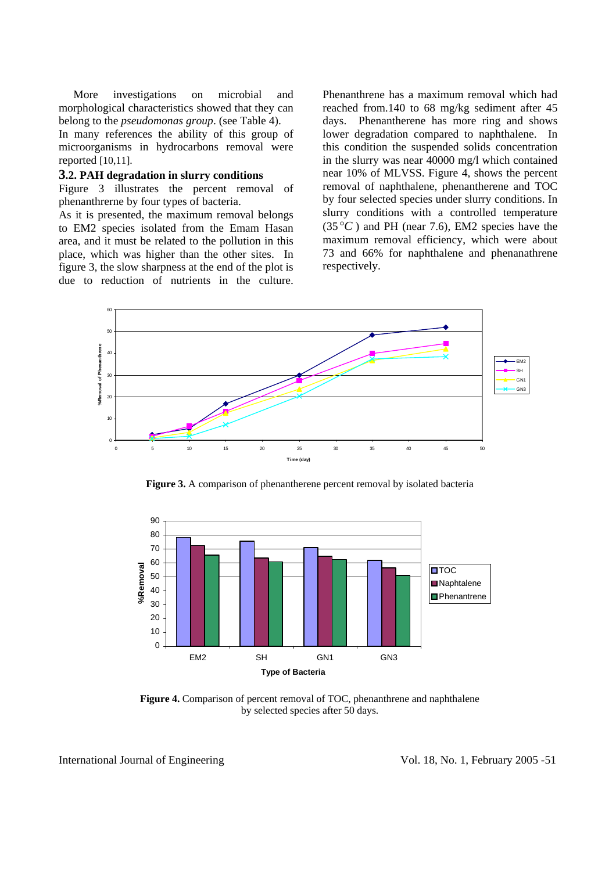More investigations on microbial and morphological characteristics showed that they can belong to the *pseudomonas group*. (see Table 4).

In many references the ability of this group of microorganisms in hydrocarbons removal were reported [10,11].

#### **3.2. PAH degradation in slurry conditions**

Figure 3 illustrates the percent removal of phenanthrerne by four types of bacteria.

As it is presented, the maximum removal belongs to EM2 species isolated from the Emam Hasan area, and it must be related to the pollution in this place, which was higher than the other sites. In figure 3, the slow sharpness at the end of the plot is due to reduction of nutrients in the culture.

Phenanthrene has a maximum removal which had reached from.140 to 68 mg/kg sediment after 45 days. Phenantherene has more ring and shows lower degradation compared to naphthalene. In this condition the suspended solids concentration in the slurry was near 40000 mg/l which contained near 10% of MLVSS. Figure 4, shows the percent removal of naphthalene, phenantherene and TOC by four selected species under slurry conditions. In slurry conditions with a controlled temperature  $(35^{\circ}C)$  and PH (near 7.6), EM2 species have the maximum removal efficiency, which were about 73 and 66% for naphthalene and phenanathrene respectively.



**Figure 3.** A comparison of phenantherene percent removal by isolated bacteria



**Figure 4.** Comparison of percent removal of TOC, phenanthrene and naphthalene by selected species after 50 days.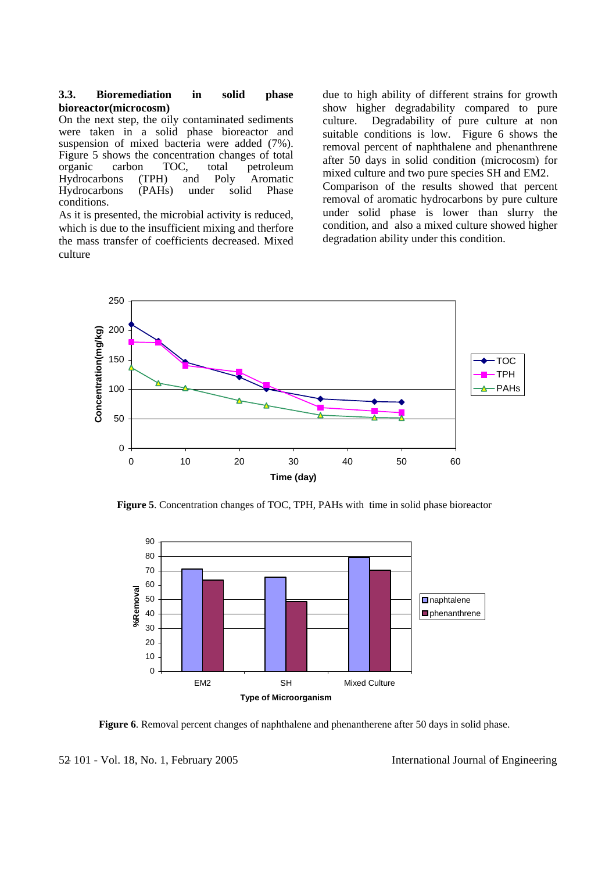#### **3.3. Bioremediation in solid phase bioreactor(microcosm)**

On the next step, the oily contaminated sediments were taken in a solid phase bioreactor and suspension of mixed bacteria were added (7%). Figure 5 shows the concentration changes of total<br>organic carbon TOC, total petroleum carbon TOC, total petroleum<br>pns (TPH) and Poly Aromatic Hydrocarbons (TPH) and Poly Aromatic Hydrocarbons (PAHs) under solid conditions.

As it is presented, the microbial activity is reduced, which is due to the insufficient mixing and therfore the mass transfer of coefficients decreased. Mixed culture

due to high ability of different strains for growth show higher degradability compared to pure culture. Degradability of pure culture at non suitable conditions is low. Figure 6 shows the removal percent of naphthalene and phenanthrene after 50 days in solid condition (microcosm) for mixed culture and two pure species SH and EM2. Comparison of the results showed that percent removal of aromatic hydrocarbons by pure culture under solid phase is lower than slurry the condition, and also a mixed culture showed higher degradation ability under this condition.



**Figure 5**. Concentration changes of TOC, TPH, PAHs with time in solid phase bioreactor



**Figure 6**. Removal percent changes of naphthalene and phenantherene after 50 days in solid phase.

 <sup>- 101 -</sup> Vol. 18, No. 1, February 2005 52 International Journal of Engineering